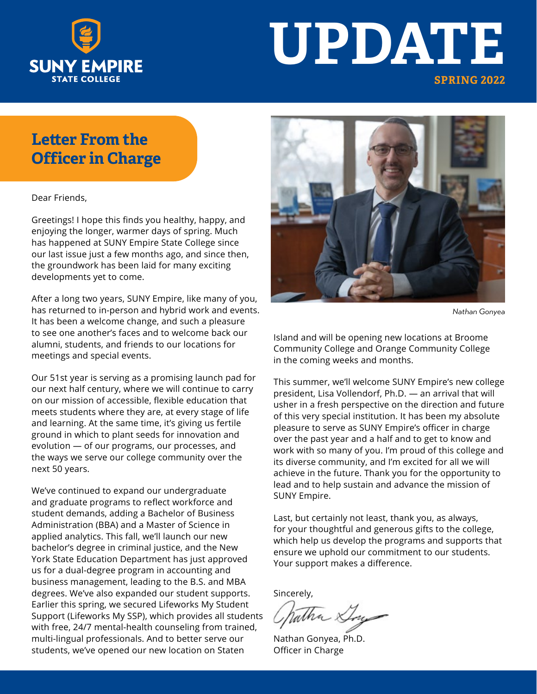

# **UPDATE SPRING 2022**

#### **Letter From the Officer in Charge**

Dear Friends,

Greetings! I hope this finds you healthy, happy, and enjoying the longer, warmer days of spring. Much has happened at SUNY Empire State College since our last issue just a few months ago, and since then, the groundwork has been laid for many exciting developments yet to come.

After a long two years, SUNY Empire, like many of you, has returned to in-person and hybrid work and events. It has been a welcome change, and such a pleasure to see one another's faces and to welcome back our alumni, students, and friends to our locations for meetings and special events.

Our 51st year is serving as a promising launch pad for our next half century, where we will continue to carry on our mission of accessible, flexible education that meets students where they are, at every stage of life and learning. At the same time, it's giving us fertile ground in which to plant seeds for innovation and evolution — of our programs, our processes, and the ways we serve our college community over the next 50 years.

We've continued to expand our undergraduate and graduate programs to reflect workforce and student demands, adding a Bachelor of Business Administration (BBA) and a Master of Science in applied analytics. This fall, we'll launch our new bachelor's degree in criminal justice, and the New York State Education Department has just approved us for a dual-degree program in accounting and business management, leading to the B.S. and MBA degrees. We've also expanded our student supports. Earlier this spring, we secured Lifeworks My Student Support (Lifeworks My SSP), which provides all students with free, 24/7 mental-health counseling from trained, multi-lingual professionals. And to better serve our students, we've opened our new location on Staten



*Nathan Gonyea* 

Island and will be opening new locations at Broome Community College and Orange Community College in the coming weeks and months.

This summer, we'll welcome SUNY Empire's new college president, Lisa Vollendorf, Ph.D. — an arrival that will usher in a fresh perspective on the direction and future of this very special institution. It has been my absolute pleasure to serve as SUNY Empire's officer in charge over the past year and a half and to get to know and work with so many of you. I'm proud of this college and its diverse community, and I'm excited for all we will achieve in the future. Thank you for the opportunity to lead and to help sustain and advance the mission of SUNY Empire.

Last, but certainly not least, thank you, as always, for your thoughtful and generous gifts to the college, which help us develop the programs and supports that ensure we uphold our commitment to our students. Your support makes a difference.

Sincerely,

atha &

Nathan Gonyea, Ph.D. Officer in Charge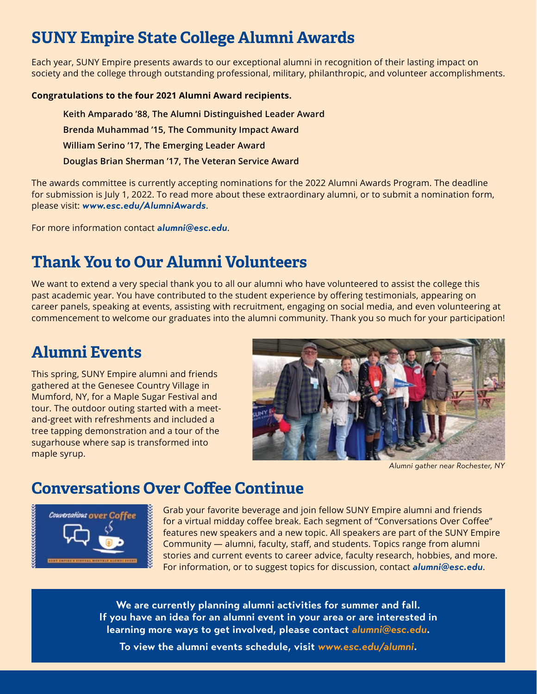## **SUNY Empire State College Alumni Awards**

Each year, SUNY Empire presents awards to our exceptional alumni in recognition of their lasting impact on society and the college through outstanding professional, military, philanthropic, and volunteer accomplishments.

#### **Congratulations to the four 2021 Alumni Award recipients.**

**Keith Amparado '88, The Alumni Distinguished Leader Award Brenda Muhammad '15, The Community Impact Award William Serino '17, The Emerging Leader Award Douglas Brian Sherman '17, The Veteran Service Award**

The awards committee is currently accepting nominations for the 2022 Alumni Awards Program. The deadline for submission is July 1, 2022. To read more about these extraordinary alumni, or to submit a nomination form, please visit: *www.esc.edu/AlumniAwards*.

For more information contact *alumni@esc.edu*.

## **Thank You to Our Alumni Volunteers**

We want to extend a very special thank you to all our alumni who have volunteered to assist the college this past academic year. You have contributed to the student experience by offering testimonials, appearing on career panels, speaking at events, assisting with recruitment, engaging on social media, and even volunteering at commencement to welcome our graduates into the alumni community. Thank you so much for your participation!

#### **Alumni Events**

This spring, SUNY Empire alumni and friends gathered at the Genesee Country Village in Mumford, NY, for a Maple Sugar Festival and tour. The outdoor outing started with a meetand-greet with refreshments and included a tree tapping demonstration and a tour of the sugarhouse where sap is transformed into maple syrup.



*Alumni gather near Rochester, NY*

#### **Conversations Over Coffee Continue**



Grab your favorite beverage and join fellow SUNY Empire alumni and friends for a virtual midday coffee break. Each segment of "Conversations Over Coffee" features new speakers and a new topic. All speakers are part of the SUNY Empire Community — alumni, faculty, staff, and students. Topics range from alumni stories and current events to career advice, faculty research, hobbies, and more. For information, or to suggest topics for discussion, contact *alumni@esc.edu*.

**We are currently planning alumni activities for summer and fall. If you have an idea for an alumni event in your area or are interested in learning more ways to get involved, please contact** *alumni@esc.edu***.**

**To view the alumni events schedule, visit** *www.esc.edu/alumni***.**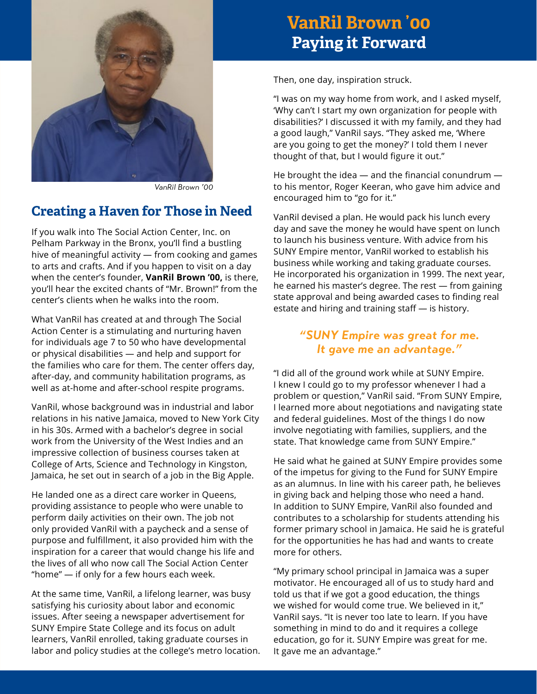

*VanRil Brown '00*

#### **Creating a Haven for Those in Need**

If you walk into The Social Action Center, Inc. on Pelham Parkway in the Bronx, you'll find a bustling hive of meaningful activity — from cooking and games to arts and crafts. And if you happen to visit on a day when the center's founder, **VanRil Brown '00,** is there, you'll hear the excited chants of "Mr. Brown!" from the center's clients when he walks into the room.

What VanRil has created at and through The Social Action Center is a stimulating and nurturing haven for individuals age 7 to 50 who have developmental or physical disabilities — and help and support for the families who care for them. The center offers day, after-day, and community habilitation programs, as well as at-home and after-school respite programs.

VanRil, whose background was in industrial and labor relations in his native Jamaica, moved to New York City in his 30s. Armed with a bachelor's degree in social work from the University of the West Indies and an impressive collection of business courses taken at College of Arts, Science and Technology in Kingston, Jamaica, he set out in search of a job in the Big Apple.

He landed one as a direct care worker in Queens, providing assistance to people who were unable to perform daily activities on their own. The job not only provided VanRil with a paycheck and a sense of purpose and fulfillment, it also provided him with the inspiration for a career that would change his life and the lives of all who now call The Social Action Center "home" — if only for a few hours each week.

At the same time, VanRil, a lifelong learner, was busy satisfying his curiosity about labor and economic issues. After seeing a newspaper advertisement for SUNY Empire State College and its focus on adult learners, VanRil enrolled, taking graduate courses in labor and policy studies at the college's metro location.

## **VanRil Brown '00 Paying it Forward**

Then, one day, inspiration struck.

"I was on my way home from work, and I asked myself, 'Why can't I start my own organization for people with disabilities?' I discussed it with my family, and they had a good laugh," VanRil says. "They asked me, 'Where are you going to get the money?' I told them I never thought of that, but I would figure it out."

He brought the idea — and the financial conundrum to his mentor, Roger Keeran, who gave him advice and encouraged him to "go for it."

VanRil devised a plan. He would pack his lunch every day and save the money he would have spent on lunch to launch his business venture. With advice from his SUNY Empire mentor, VanRil worked to establish his business while working and taking graduate courses. He incorporated his organization in 1999. The next year, he earned his master's degree. The rest — from gaining state approval and being awarded cases to finding real estate and hiring and training staff — is history.

#### *"SUNY Empire was great for me. It gave me an advantage."*

"I did all of the ground work while at SUNY Empire. I knew I could go to my professor whenever I had a problem or question," VanRil said. "From SUNY Empire, I learned more about negotiations and navigating state and federal guidelines. Most of the things I do now involve negotiating with families, suppliers, and the state. That knowledge came from SUNY Empire."

He said what he gained at SUNY Empire provides some of the impetus for giving to the Fund for SUNY Empire as an alumnus. In line with his career path, he believes in giving back and helping those who need a hand. In addition to SUNY Empire, VanRil also founded and contributes to a scholarship for students attending his former primary school in Jamaica. He said he is grateful for the opportunities he has had and wants to create more for others.

"My primary school principal in Jamaica was a super motivator. He encouraged all of us to study hard and told us that if we got a good education, the things we wished for would come true. We believed in it," VanRil says. "It is never too late to learn. If you have something in mind to do and it requires a college education, go for it. SUNY Empire was great for me. It gave me an advantage."